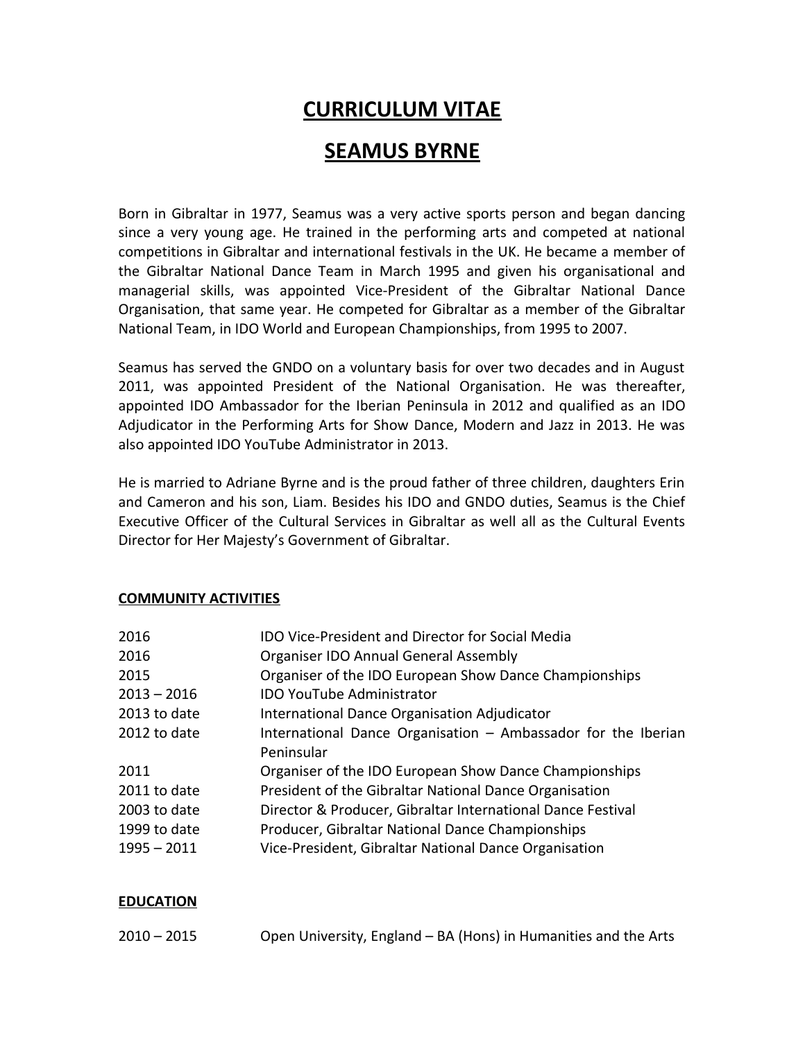# **CURRICULUM VITAE**

## **SEAMUS BYRNE**

Born in Gibraltar in 1977, Seamus was a very active sports person and began dancing since a very young age. He trained in the performing arts and competed at national competitions in Gibraltar and international festivals in the UK. He became a member of the Gibraltar National Dance Team in March 1995 and given his organisational and managerial skills, was appointed Vice-President of the Gibraltar National Dance Organisation, that same year. He competed for Gibraltar as a member of the Gibraltar National Team, in IDO World and European Championships, from 1995 to 2007.

Seamus has served the GNDO on a voluntary basis for over two decades and in August 2011, was appointed President of the National Organisation. He was thereafter, appointed IDO Ambassador for the Iberian Peninsula in 2012 and qualified as an IDO Adjudicator in the Performing Arts for Show Dance, Modern and Jazz in 2013. He was also appointed IDO YouTube Administrator in 2013.

He is married to Adriane Byrne and is the proud father of three children, daughters Erin and Cameron and his son, Liam. Besides his IDO and GNDO duties, Seamus is the Chief Executive Officer of the Cultural Services in Gibraltar as well all as the Cultural Events Director for Her Majesty's Government of Gibraltar.

#### **COMMUNITY ACTIVITIES**

| 2016          | <b>IDO Vice-President and Director for Social Media</b>       |
|---------------|---------------------------------------------------------------|
| 2016          | <b>Organiser IDO Annual General Assembly</b>                  |
| 2015          | Organiser of the IDO European Show Dance Championships        |
| $2013 - 2016$ | <b>IDO YouTube Administrator</b>                              |
| 2013 to date  | International Dance Organisation Adjudicator                  |
| 2012 to date  | International Dance Organisation - Ambassador for the Iberian |
|               | Peninsular                                                    |
| 2011          | Organiser of the IDO European Show Dance Championships        |
| 2011 to date  | President of the Gibraltar National Dance Organisation        |
| 2003 to date  | Director & Producer, Gibraltar International Dance Festival   |
| 1999 to date  | Producer, Gibraltar National Dance Championships              |
| 1995 - 2011   | Vice-President, Gibraltar National Dance Organisation         |
|               |                                                               |

#### **EDUCATION**

| $2010 - 2015$ | Open University, England – BA (Hons) in Humanities and the Arts |
|---------------|-----------------------------------------------------------------|
|---------------|-----------------------------------------------------------------|